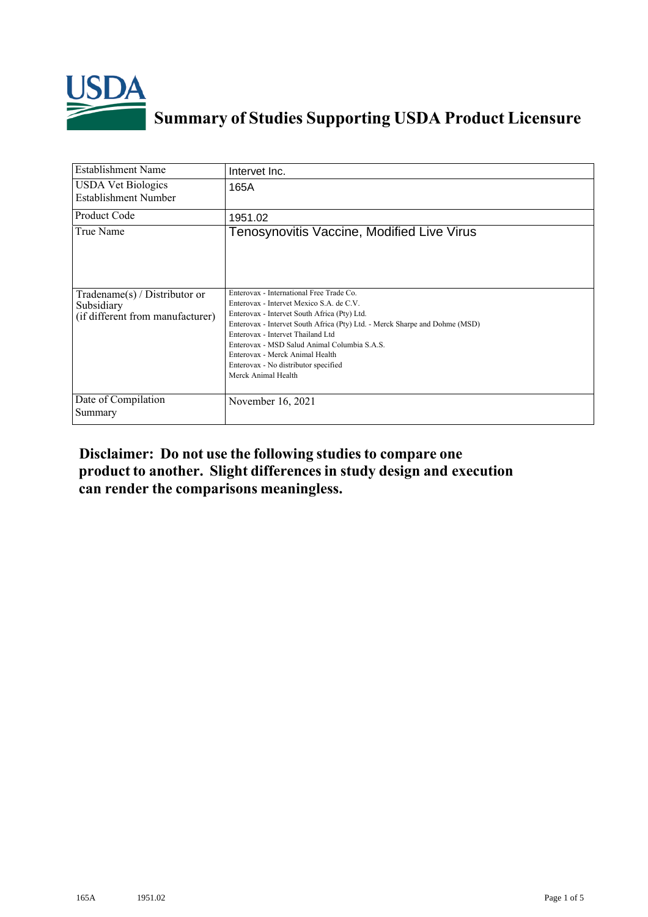

## **Summary of Studies Supporting USDA Product Licensure**

| <b>Establishment Name</b>                                                       | Intervet Inc.                                                                                                                                                                                                                                                                                                                                                                                              |
|---------------------------------------------------------------------------------|------------------------------------------------------------------------------------------------------------------------------------------------------------------------------------------------------------------------------------------------------------------------------------------------------------------------------------------------------------------------------------------------------------|
| <b>USDA Vet Biologics</b><br>Establishment Number                               | 165A                                                                                                                                                                                                                                                                                                                                                                                                       |
| <b>Product Code</b>                                                             | 1951.02                                                                                                                                                                                                                                                                                                                                                                                                    |
| True Name                                                                       | Tenosynovitis Vaccine, Modified Live Virus                                                                                                                                                                                                                                                                                                                                                                 |
| Tradename(s) / Distributor or<br>Subsidiary<br>(if different from manufacturer) | Enterovax - International Free Trade Co.<br>Enterovax - Intervet Mexico S.A. de C.V.<br>Enterovax - Intervet South Africa (Pty) Ltd.<br>Enterovax - Intervet South Africa (Pty) Ltd. - Merck Sharpe and Dohme (MSD)<br>Enterovax - Intervet Thailand Ltd<br>Enterovax - MSD Salud Animal Columbia S.A.S.<br>Enterovax - Merck Animal Health<br>Enterovax - No distributor specified<br>Merck Animal Health |
| Date of Compilation<br>Summary                                                  | November 16, 2021                                                                                                                                                                                                                                                                                                                                                                                          |

## **Disclaimer: Do not use the following studiesto compare one product to another. Slight differencesin study design and execution can render the comparisons meaningless.**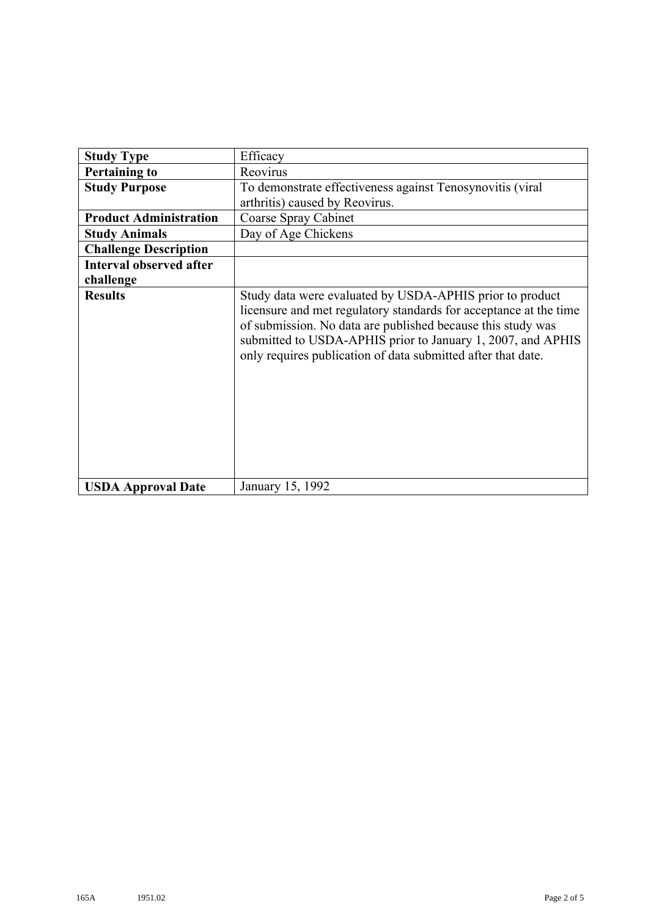| <b>Study Type</b>              | Efficacy                                                                                                                                                                                                                                                                                                                    |
|--------------------------------|-----------------------------------------------------------------------------------------------------------------------------------------------------------------------------------------------------------------------------------------------------------------------------------------------------------------------------|
| <b>Pertaining to</b>           | Reovirus                                                                                                                                                                                                                                                                                                                    |
| <b>Study Purpose</b>           | To demonstrate effectiveness against Tenosynovitis (viral                                                                                                                                                                                                                                                                   |
|                                | arthritis) caused by Reovirus.                                                                                                                                                                                                                                                                                              |
| <b>Product Administration</b>  | Coarse Spray Cabinet                                                                                                                                                                                                                                                                                                        |
| <b>Study Animals</b>           | Day of Age Chickens                                                                                                                                                                                                                                                                                                         |
| <b>Challenge Description</b>   |                                                                                                                                                                                                                                                                                                                             |
| <b>Interval observed after</b> |                                                                                                                                                                                                                                                                                                                             |
| challenge                      |                                                                                                                                                                                                                                                                                                                             |
| <b>Results</b>                 | Study data were evaluated by USDA-APHIS prior to product<br>licensure and met regulatory standards for acceptance at the time<br>of submission. No data are published because this study was<br>submitted to USDA-APHIS prior to January 1, 2007, and APHIS<br>only requires publication of data submitted after that date. |
| <b>USDA Approval Date</b>      | January 15, 1992                                                                                                                                                                                                                                                                                                            |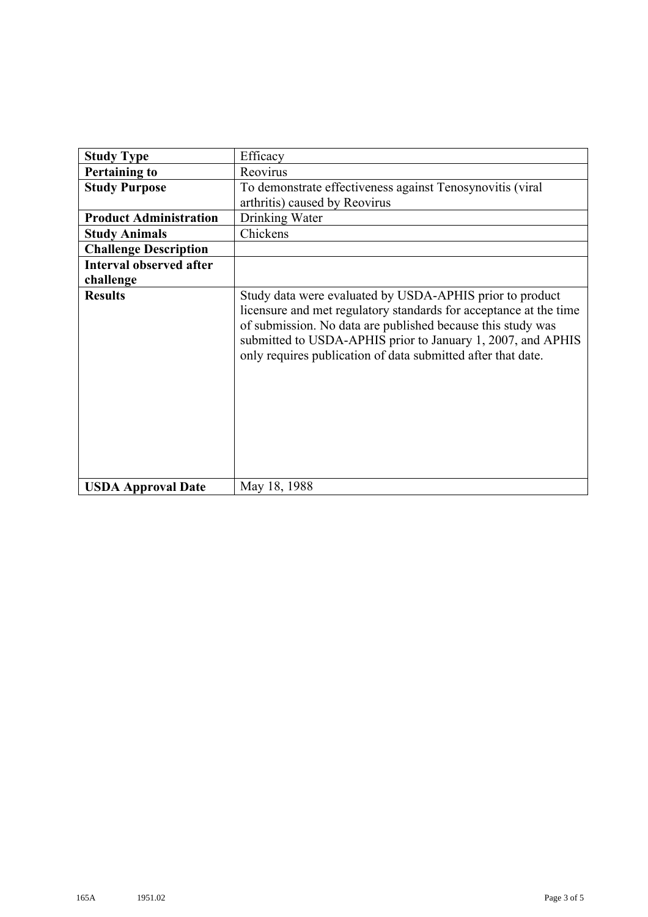| <b>Study Type</b>              | Efficacy                                                                                                                                                                                                                                                                                                                    |
|--------------------------------|-----------------------------------------------------------------------------------------------------------------------------------------------------------------------------------------------------------------------------------------------------------------------------------------------------------------------------|
| <b>Pertaining to</b>           | Reovirus                                                                                                                                                                                                                                                                                                                    |
| <b>Study Purpose</b>           | To demonstrate effectiveness against Tenosynovitis (viral                                                                                                                                                                                                                                                                   |
|                                | arthritis) caused by Reovirus                                                                                                                                                                                                                                                                                               |
| <b>Product Administration</b>  | Drinking Water                                                                                                                                                                                                                                                                                                              |
| <b>Study Animals</b>           | Chickens                                                                                                                                                                                                                                                                                                                    |
| <b>Challenge Description</b>   |                                                                                                                                                                                                                                                                                                                             |
| <b>Interval observed after</b> |                                                                                                                                                                                                                                                                                                                             |
| challenge                      |                                                                                                                                                                                                                                                                                                                             |
| <b>Results</b>                 | Study data were evaluated by USDA-APHIS prior to product<br>licensure and met regulatory standards for acceptance at the time<br>of submission. No data are published because this study was<br>submitted to USDA-APHIS prior to January 1, 2007, and APHIS<br>only requires publication of data submitted after that date. |
| <b>USDA Approval Date</b>      | May 18, 1988                                                                                                                                                                                                                                                                                                                |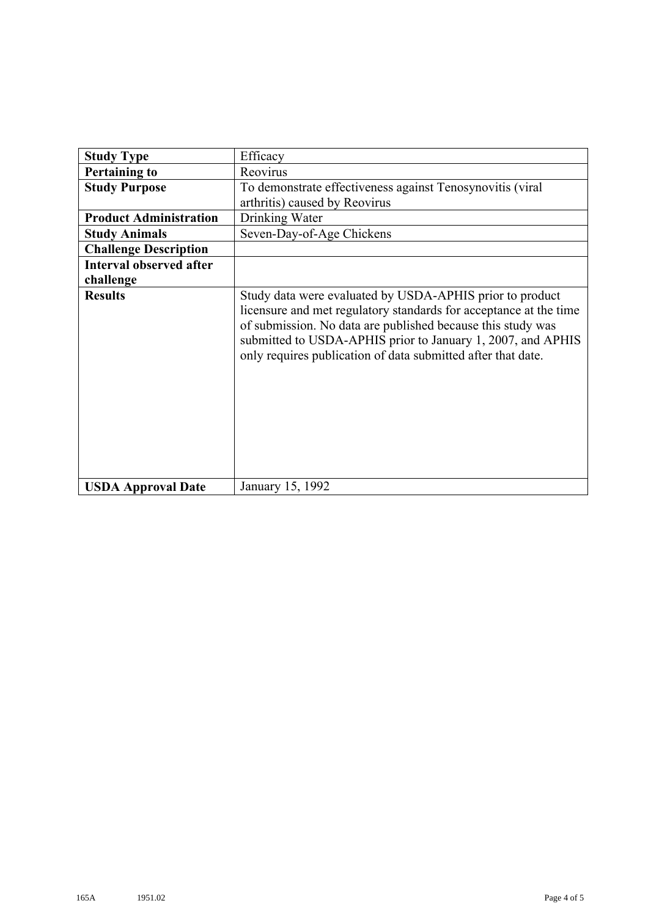| <b>Study Type</b>              | Efficacy                                                                                                                                                                                                                                                                                                                    |
|--------------------------------|-----------------------------------------------------------------------------------------------------------------------------------------------------------------------------------------------------------------------------------------------------------------------------------------------------------------------------|
| <b>Pertaining to</b>           | Reovirus                                                                                                                                                                                                                                                                                                                    |
| <b>Study Purpose</b>           | To demonstrate effectiveness against Tenosynovitis (viral                                                                                                                                                                                                                                                                   |
|                                | arthritis) caused by Reovirus                                                                                                                                                                                                                                                                                               |
| <b>Product Administration</b>  | Drinking Water                                                                                                                                                                                                                                                                                                              |
| <b>Study Animals</b>           | Seven-Day-of-Age Chickens                                                                                                                                                                                                                                                                                                   |
| <b>Challenge Description</b>   |                                                                                                                                                                                                                                                                                                                             |
| <b>Interval observed after</b> |                                                                                                                                                                                                                                                                                                                             |
| challenge                      |                                                                                                                                                                                                                                                                                                                             |
| <b>Results</b>                 | Study data were evaluated by USDA-APHIS prior to product<br>licensure and met regulatory standards for acceptance at the time<br>of submission. No data are published because this study was<br>submitted to USDA-APHIS prior to January 1, 2007, and APHIS<br>only requires publication of data submitted after that date. |
| <b>USDA Approval Date</b>      | January 15, 1992                                                                                                                                                                                                                                                                                                            |